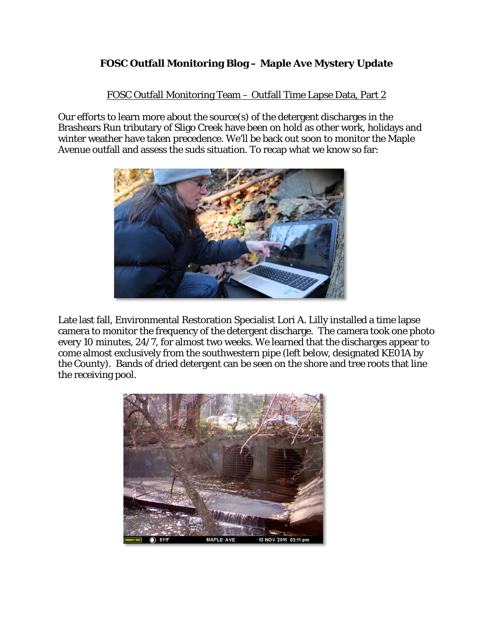## **FOSC Outfall Monitoring Blog – Maple Ave Mystery Update**

## FOSC Outfall Monitoring Team – Outfall Time Lapse Data, Part 2

Our efforts to learn more about the source(s) of the detergent discharges in the Brashears Run tributary of Sligo Creek have been on hold as other work, holidays and winter weather have taken precedence. We'll be back out soon to monitor the Maple Avenue outfall and assess the suds situation. To recap what we know so far:



Late last fall, Environmental Restoration Specialist Lori A. Lilly installed a time lapse camera to monitor the frequency of the detergent discharge. The camera took one photo every 10 minutes, 24/7, for almost two weeks. We learned that the discharges appear to come almost exclusively from the southwestern pipe (left below, designated KE01A by the County). Bands of dried detergent can be seen on the shore and tree roots that line the receiving pool.